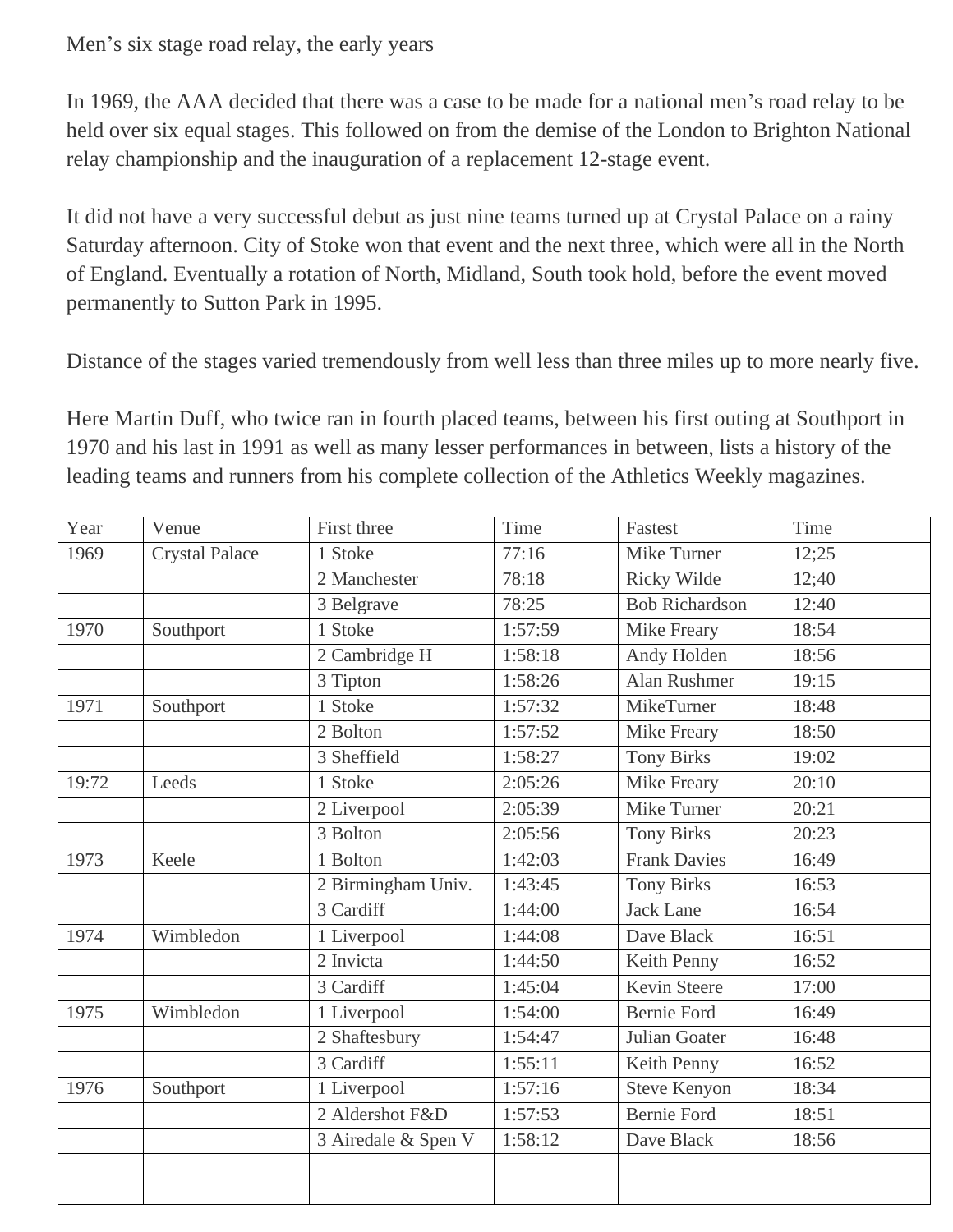Men's six stage road relay, the early years

In 1969, the AAA decided that there was a case to be made for a national men's road relay to be held over six equal stages. This followed on from the demise of the London to Brighton National relay championship and the inauguration of a replacement 12-stage event.

It did not have a very successful debut as just nine teams turned up at Crystal Palace on a rainy Saturday afternoon. City of Stoke won that event and the next three, which were all in the North of England. Eventually a rotation of North, Midland, South took hold, before the event moved permanently to Sutton Park in 1995.

Distance of the stages varied tremendously from well less than three miles up to more nearly five.

Here Martin Duff, who twice ran in fourth placed teams, between his first outing at Southport in 1970 and his last in 1991 as well as many lesser performances in between, lists a history of the leading teams and runners from his complete collection of the Athletics Weekly magazines.

| Year  | Venue                 | First three         | Time    | Fastest               | Time  |
|-------|-----------------------|---------------------|---------|-----------------------|-------|
| 1969  | <b>Crystal Palace</b> | 1 Stoke             | 77:16   | Mike Turner           | 12;25 |
|       |                       | 2 Manchester        | 78:18   | Ricky Wilde           | 12;40 |
|       |                       | 3 Belgrave          | 78:25   | <b>Bob Richardson</b> | 12:40 |
| 1970  | Southport             | 1 Stoke             | 1:57:59 | Mike Freary           | 18:54 |
|       |                       | 2 Cambridge H       | 1:58:18 | Andy Holden           | 18:56 |
|       |                       | 3 Tipton            | 1:58:26 | Alan Rushmer          | 19:15 |
| 1971  | Southport             | 1 Stoke             | 1:57:32 | MikeTurner            | 18:48 |
|       |                       | 2 Bolton            | 1:57:52 | Mike Freary           | 18:50 |
|       |                       | 3 Sheffield         | 1:58:27 | <b>Tony Birks</b>     | 19:02 |
| 19:72 | Leeds                 | 1 Stoke             | 2:05:26 | Mike Freary           | 20:10 |
|       |                       | 2 Liverpool         | 2:05:39 | Mike Turner           | 20:21 |
|       |                       | 3 Bolton            | 2:05:56 | <b>Tony Birks</b>     | 20:23 |
| 1973  | Keele                 | 1 Bolton            | 1:42:03 | <b>Frank Davies</b>   | 16:49 |
|       |                       | 2 Birmingham Univ.  | 1:43:45 | <b>Tony Birks</b>     | 16:53 |
|       |                       | 3 Cardiff           | 1:44:00 | <b>Jack Lane</b>      | 16:54 |
| 1974  | Wimbledon             | 1 Liverpool         | 1:44:08 | Dave Black            | 16:51 |
|       |                       | 2 Invicta           | 1:44:50 | Keith Penny           | 16:52 |
|       |                       | 3 Cardiff           | 1:45:04 | <b>Kevin Steere</b>   | 17:00 |
| 1975  | Wimbledon             | 1 Liverpool         | 1:54:00 | <b>Bernie Ford</b>    | 16:49 |
|       |                       | 2 Shaftesbury       | 1:54:47 | Julian Goater         | 16:48 |
|       |                       | 3 Cardiff           | 1:55:11 | Keith Penny           | 16:52 |
| 1976  | Southport             | 1 Liverpool         | 1:57:16 | <b>Steve Kenyon</b>   | 18:34 |
|       |                       | 2 Aldershot F&D     | 1:57:53 | <b>Bernie Ford</b>    | 18:51 |
|       |                       | 3 Airedale & Spen V | 1:58:12 | Dave Black            | 18:56 |
|       |                       |                     |         |                       |       |
|       |                       |                     |         |                       |       |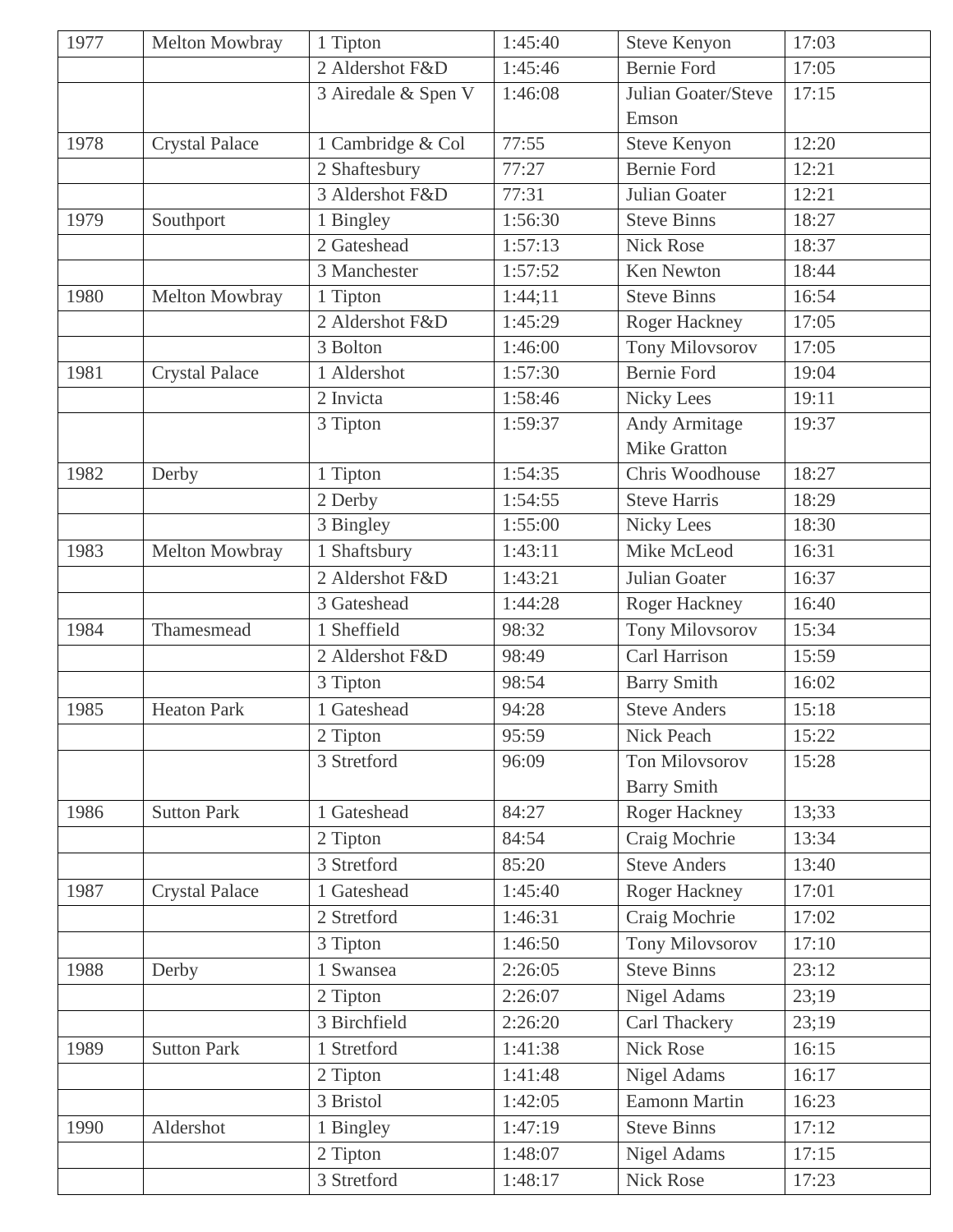| 1977 | Melton Mowbray        | 1 Tipton            | 1:45:40 | <b>Steve Kenyon</b>    | 17:03 |
|------|-----------------------|---------------------|---------|------------------------|-------|
|      |                       | 2 Aldershot F&D     | 1:45:46 | <b>Bernie Ford</b>     | 17:05 |
|      |                       | 3 Airedale & Spen V | 1:46:08 | Julian Goater/Steve    | 17:15 |
|      |                       |                     |         | Emson                  |       |
| 1978 | <b>Crystal Palace</b> | 1 Cambridge & Col   | 77:55   | <b>Steve Kenyon</b>    | 12:20 |
|      |                       | 2 Shaftesbury       | 77:27   | <b>Bernie Ford</b>     | 12:21 |
|      |                       | 3 Aldershot F&D     | 77:31   | Julian Goater          | 12:21 |
| 1979 | Southport             | 1 Bingley           | 1:56:30 | <b>Steve Binns</b>     | 18:27 |
|      |                       | 2 Gateshead         | 1:57:13 | <b>Nick Rose</b>       | 18:37 |
|      |                       | 3 Manchester        | 1:57:52 | Ken Newton             | 18:44 |
| 1980 | Melton Mowbray        | 1 Tipton            | 1:44;11 | <b>Steve Binns</b>     | 16:54 |
|      |                       | 2 Aldershot F&D     | 1:45:29 | <b>Roger Hackney</b>   | 17:05 |
|      |                       | 3 Bolton            | 1:46:00 | <b>Tony Milovsorov</b> | 17:05 |
| 1981 | <b>Crystal Palace</b> | 1 Aldershot         | 1:57:30 | <b>Bernie Ford</b>     | 19:04 |
|      |                       | 2 Invicta           | 1:58:46 | <b>Nicky Lees</b>      | 19:11 |
|      |                       | 3 Tipton            | 1:59:37 | <b>Andy Armitage</b>   | 19:37 |
|      |                       |                     |         | <b>Mike Gratton</b>    |       |
| 1982 | Derby                 | 1 Tipton            | 1:54:35 | Chris Woodhouse        | 18:27 |
|      |                       | 2 Derby             | 1:54:55 | <b>Steve Harris</b>    | 18:29 |
|      |                       | 3 Bingley           | 1:55:00 | <b>Nicky Lees</b>      | 18:30 |
| 1983 | Melton Mowbray        | 1 Shaftsbury        | 1:43:11 | Mike McLeod            | 16:31 |
|      |                       | 2 Aldershot F&D     | 1:43:21 | Julian Goater          | 16:37 |
|      |                       | 3 Gateshead         | 1:44:28 | Roger Hackney          | 16:40 |
| 1984 | Thamesmead            | 1 Sheffield         | 98:32   | <b>Tony Milovsorov</b> | 15:34 |
|      |                       | 2 Aldershot F&D     | 98:49   | Carl Harrison          | 15:59 |
|      |                       | 3 Tipton            | 98:54   | <b>Barry Smith</b>     | 16:02 |
| 1985 | <b>Heaton Park</b>    | 1 Gateshead         | 94:28   | <b>Steve Anders</b>    | 15:18 |
|      |                       | 2 Tipton            | 95:59   | Nick Peach             | 15:22 |
|      |                       | 3 Stretford         | 96:09   | <b>Ton Milovsorov</b>  | 15:28 |
|      |                       |                     |         | <b>Barry Smith</b>     |       |
| 1986 | <b>Sutton Park</b>    | 1 Gateshead         | 84:27   | Roger Hackney          | 13;33 |
|      |                       | 2 Tipton            | 84:54   | Craig Mochrie          | 13:34 |
|      |                       | 3 Stretford         | 85:20   | <b>Steve Anders</b>    | 13:40 |
| 1987 | <b>Crystal Palace</b> | 1 Gateshead         | 1:45:40 | Roger Hackney          | 17:01 |
|      |                       | 2 Stretford         | 1:46:31 | Craig Mochrie          | 17:02 |
|      |                       | 3 Tipton            | 1:46:50 | Tony Milovsorov        | 17:10 |
| 1988 | Derby                 | 1 Swansea           | 2:26:05 | <b>Steve Binns</b>     | 23:12 |
|      |                       | 2 Tipton            | 2:26:07 | <b>Nigel Adams</b>     | 23;19 |
|      |                       | 3 Birchfield        | 2:26:20 | Carl Thackery          | 23;19 |
| 1989 | <b>Sutton Park</b>    | 1 Stretford         | 1:41:38 | <b>Nick Rose</b>       | 16:15 |
|      |                       | 2 Tipton            | 1:41:48 | <b>Nigel Adams</b>     | 16:17 |
|      |                       | 3 Bristol           | 1:42:05 | <b>Eamonn Martin</b>   | 16:23 |
| 1990 | Aldershot             | 1 Bingley           | 1:47:19 | <b>Steve Binns</b>     | 17:12 |
|      |                       | 2 Tipton            | 1:48:07 | <b>Nigel Adams</b>     | 17:15 |
|      |                       | 3 Stretford         | 1:48:17 | Nick Rose              | 17:23 |